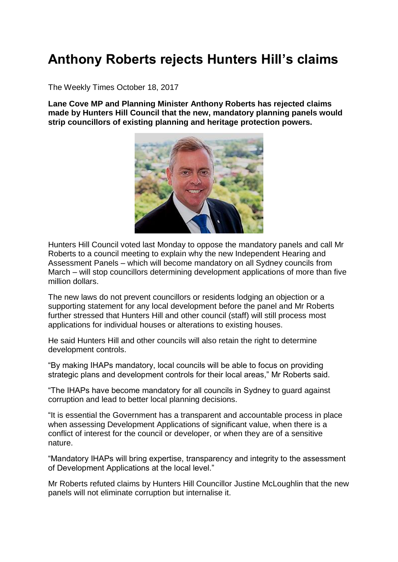## **Anthony Roberts rejects Hunters Hill's claims**

The Weekly Times October 18, 2017

**Lane Cove MP and Planning Minister Anthony Roberts has rejected claims made by Hunters Hill Council that the new, mandatory planning panels would strip councillors of existing planning and heritage protection powers.**



Hunters Hill Council voted last Monday to oppose the mandatory panels and call Mr Roberts to a council meeting to explain why the new Independent Hearing and Assessment Panels – which will become mandatory on all Sydney councils from March – will stop councillors determining development applications of more than five million dollars.

The new laws do not prevent councillors or residents lodging an objection or a supporting statement for any local development before the panel and Mr Roberts further stressed that Hunters Hill and other council (staff) will still process most applications for individual houses or alterations to existing houses.

He said Hunters Hill and other councils will also retain the right to determine development controls.

"By making IHAPs mandatory, local councils will be able to focus on providing strategic plans and development controls for their local areas," Mr Roberts said.

"The IHAPs have become mandatory for all councils in Sydney to guard against corruption and lead to better local planning decisions.

"It is essential the Government has a transparent and accountable process in place when assessing Development Applications of significant value, when there is a conflict of interest for the council or developer, or when they are of a sensitive nature.

"Mandatory IHAPs will bring expertise, transparency and integrity to the assessment of Development Applications at the local level."

Mr Roberts refuted claims by Hunters Hill Councillor Justine McLoughlin that the new panels will not eliminate corruption but internalise it.